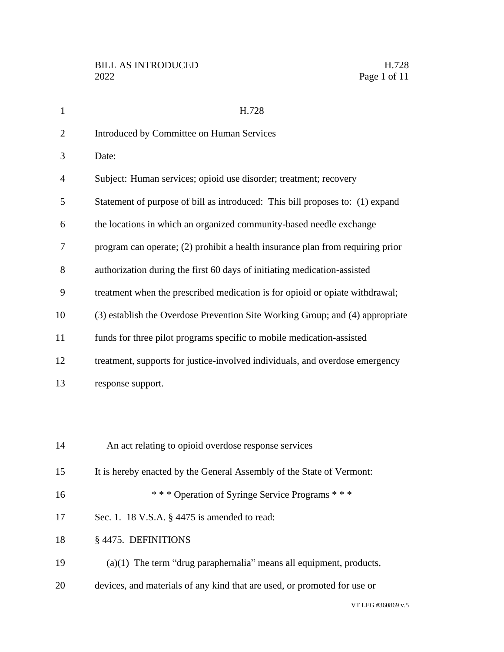| $\mathbf{1}$   | H.728                                                                          |
|----------------|--------------------------------------------------------------------------------|
| $\overline{2}$ | Introduced by Committee on Human Services                                      |
| 3              | Date:                                                                          |
| $\overline{4}$ | Subject: Human services; opioid use disorder; treatment; recovery              |
| 5              | Statement of purpose of bill as introduced: This bill proposes to: (1) expand  |
| 6              | the locations in which an organized community-based needle exchange            |
| 7              | program can operate; (2) prohibit a health insurance plan from requiring prior |
| 8              | authorization during the first 60 days of initiating medication-assisted       |
| 9              | treatment when the prescribed medication is for opioid or opiate withdrawal;   |
| 10             | (3) establish the Overdose Prevention Site Working Group; and (4) appropriate  |
| 11             | funds for three pilot programs specific to mobile medication-assisted          |
| 12             | treatment, supports for justice-involved individuals, and overdose emergency   |
| 13             | response support.                                                              |
|                |                                                                                |
|                |                                                                                |
| 14             | An act relating to opioid overdose response services                           |
| 15             | It is hereby enacted by the General Assembly of the State of Vermont:          |
| 16             | *** Operation of Syringe Service Programs ***                                  |
| 17             | Sec. 1. 18 V.S.A. § 4475 is amended to read:                                   |
| 18             | § 4475. DEFINITIONS                                                            |
| 19             | $(a)(1)$ The term "drug paraphernalia" means all equipment, products,          |
| 20             | devices, and materials of any kind that are used, or promoted for use or       |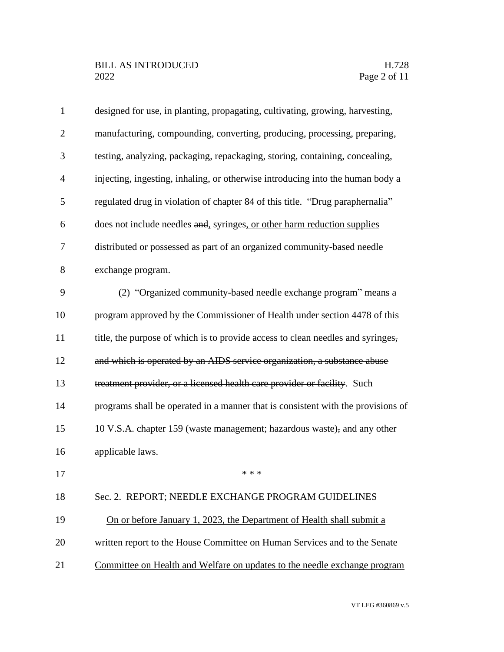| $\mathbf{1}$   | designed for use, in planting, propagating, cultivating, growing, harvesting,    |
|----------------|----------------------------------------------------------------------------------|
| $\overline{2}$ | manufacturing, compounding, converting, producing, processing, preparing,        |
| 3              | testing, analyzing, packaging, repackaging, storing, containing, concealing,     |
| $\overline{4}$ | injecting, ingesting, inhaling, or otherwise introducing into the human body a   |
| 5              | regulated drug in violation of chapter 84 of this title. "Drug paraphernalia"    |
| 6              | does not include needles and, syringes, or other harm reduction supplies         |
| 7              | distributed or possessed as part of an organized community-based needle          |
| 8              | exchange program.                                                                |
| 9              | (2) "Organized community-based needle exchange program" means a                  |
| 10             | program approved by the Commissioner of Health under section 4478 of this        |
| 11             | title, the purpose of which is to provide access to clean needles and syringes,  |
| 12             | and which is operated by an AIDS service organization, a substance abuse         |
| 13             | treatment provider, or a licensed health care provider or facility. Such         |
| 14             | programs shall be operated in a manner that is consistent with the provisions of |
| 15             | 10 V.S.A. chapter 159 (waste management; hazardous waste), and any other         |
| 16             | applicable laws.                                                                 |
| 17             | * * *                                                                            |
| 18             | Sec. 2. REPORT; NEEDLE EXCHANGE PROGRAM GUIDELINES                               |
| 19             | On or before January 1, 2023, the Department of Health shall submit a            |
| 20             | written report to the House Committee on Human Services and to the Senate        |
| 21             | Committee on Health and Welfare on updates to the needle exchange program        |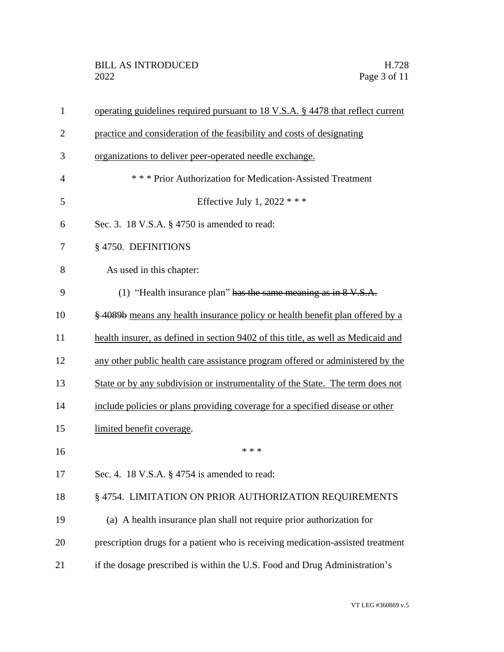| $\mathbf{1}$   | operating guidelines required pursuant to 18 V.S.A. § 4478 that reflect current   |
|----------------|-----------------------------------------------------------------------------------|
| $\overline{2}$ | practice and consideration of the feasibility and costs of designating            |
| 3              | organizations to deliver peer-operated needle exchange.                           |
| $\overline{4}$ | *** Prior Authorization for Medication-Assisted Treatment                         |
| 5              | Effective July 1, 2022 $***$                                                      |
| 6              | Sec. 3. 18 V.S.A. § 4750 is amended to read:                                      |
| 7              | § 4750. DEFINITIONS                                                               |
| 8              | As used in this chapter:                                                          |
| 9              | (1) "Health insurance plan" has the same meaning as in $8 \text{ V.S.A.}$         |
| 10             | § 4089b means any health insurance policy or health benefit plan offered by a     |
| 11             | health insurer, as defined in section 9402 of this title, as well as Medicaid and |
| 12             | any other public health care assistance program offered or administered by the    |
| 13             | State or by any subdivision or instrumentality of the State. The term does not    |
| 14             | include policies or plans providing coverage for a specified disease or other     |
| 15             | limited benefit coverage.                                                         |
| 16             | * * *                                                                             |
| 17             | Sec. 4. 18 V.S.A. $\S$ 4754 is amended to read:                                   |
| 18             | § 4754. LIMITATION ON PRIOR AUTHORIZATION REQUIREMENTS                            |
| 19             | (a) A health insurance plan shall not require prior authorization for             |
| 20             | prescription drugs for a patient who is receiving medication-assisted treatment   |
| 21             | if the dosage prescribed is within the U.S. Food and Drug Administration's        |
|                |                                                                                   |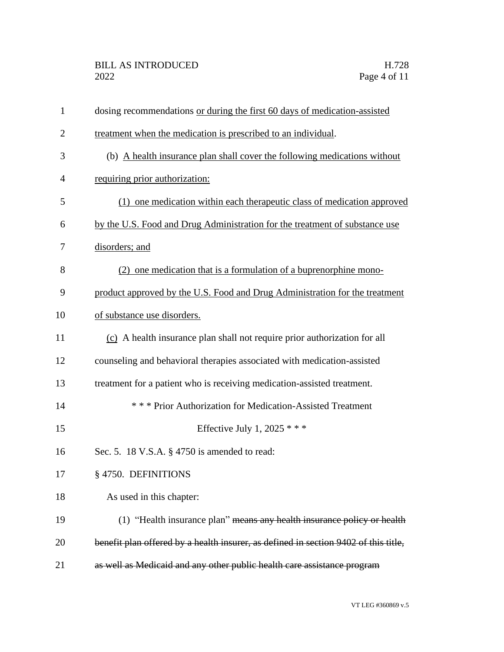| $\mathbf{1}$   | dosing recommendations or during the first 60 days of medication-assisted           |
|----------------|-------------------------------------------------------------------------------------|
| $\overline{2}$ | treatment when the medication is prescribed to an individual.                       |
| 3              | (b) A health insurance plan shall cover the following medications without           |
| 4              | requiring prior authorization:                                                      |
| 5              | (1) one medication within each therapeutic class of medication approved             |
| 6              | by the U.S. Food and Drug Administration for the treatment of substance use         |
| 7              | disorders; and                                                                      |
| 8              | (2) one medication that is a formulation of a buprenorphine mono-                   |
| 9              | product approved by the U.S. Food and Drug Administration for the treatment         |
| 10             | of substance use disorders.                                                         |
| 11             | (c) A health insurance plan shall not require prior authorization for all           |
| 12             | counseling and behavioral therapies associated with medication-assisted             |
| 13             | treatment for a patient who is receiving medication-assisted treatment.             |
| 14             | *** Prior Authorization for Medication-Assisted Treatment                           |
| 15             | Effective July 1, 2025 $***$                                                        |
| 16             | Sec. 5. 18 V.S.A. § 4750 is amended to read:                                        |
| 17             | §4750. DEFINITIONS                                                                  |
| 18             | As used in this chapter:                                                            |
| 19             | (1) "Health insurance plan" means any health insurance policy or health             |
| 20             | benefit plan offered by a health insurer, as defined in section 9402 of this title, |
| 21             | as well as Medicaid and any other public health care assistance program             |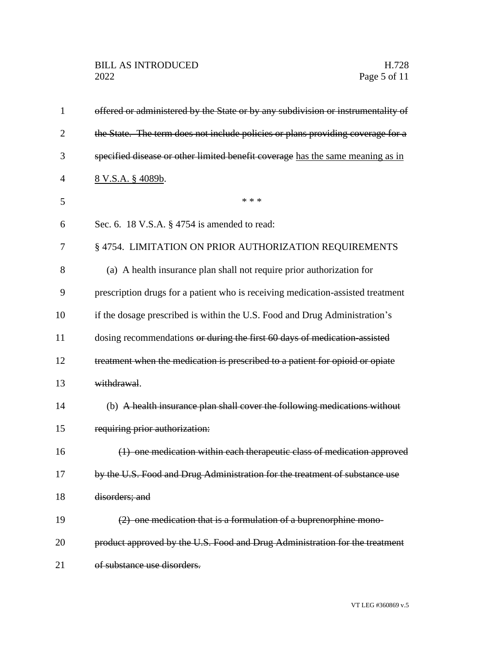## BILL AS INTRODUCED H.728<br>2022 Page 5 of 11

| $\mathbf{1}$   | offered or administered by the State or by any subdivision or instrumentality of |
|----------------|----------------------------------------------------------------------------------|
| $\overline{2}$ | the State. The term does not include policies or plans providing coverage for a  |
| 3              | specified disease or other limited benefit coverage has the same meaning as in   |
| 4              | 8 V.S.A. § 4089b.                                                                |
| 5              | * * *                                                                            |
| 6              | Sec. 6. 18 V.S.A. § 4754 is amended to read:                                     |
| 7              | § 4754. LIMITATION ON PRIOR AUTHORIZATION REQUIREMENTS                           |
| 8              | (a) A health insurance plan shall not require prior authorization for            |
| 9              | prescription drugs for a patient who is receiving medication-assisted treatment  |
| 10             | if the dosage prescribed is within the U.S. Food and Drug Administration's       |
| 11             | dosing recommendations or during the first 60 days of medication assisted        |
| 12             | treatment when the medication is prescribed to a patient for opioid or opiate    |
| 13             | withdrawal.                                                                      |
| 14             | (b) A health insurance plan shall cover the following medications without        |
| 15             | requiring prior authorization:                                                   |
| 16             | (1) one medication within each therapeutic class of medication approved          |
| 17             | by the U.S. Food and Drug Administration for the treatment of substance use      |
| 18             | disorders; and                                                                   |
| 19             | (2) one medication that is a formulation of a buprenorphine mono-                |
| 20             | product approved by the U.S. Food and Drug Administration for the treatment      |
| 21             | of substance use disorders.                                                      |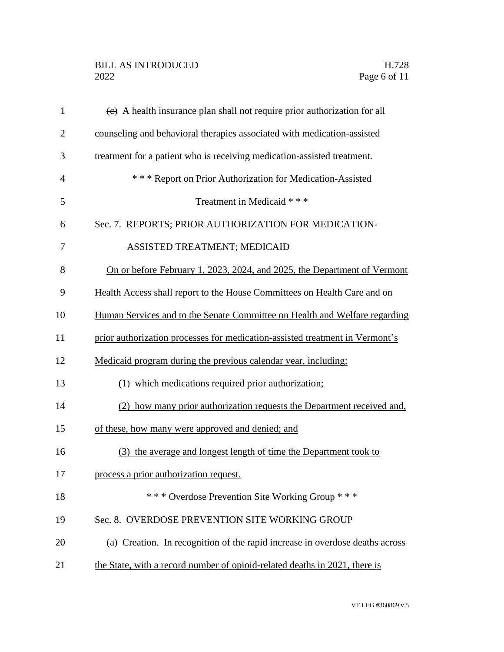## BILL AS INTRODUCED H.728<br>2022 Page 6 of 11

| $\mathbf{1}$   | $\overline{e}$ A health insurance plan shall not require prior authorization for all |
|----------------|--------------------------------------------------------------------------------------|
| $\overline{2}$ | counseling and behavioral therapies associated with medication-assisted              |
| 3              | treatment for a patient who is receiving medication-assisted treatment.              |
| $\overline{4}$ | *** Report on Prior Authorization for Medication-Assisted                            |
| 5              | Treatment in Medicaid * * *                                                          |
| 6              | Sec. 7. REPORTS; PRIOR AUTHORIZATION FOR MEDICATION-                                 |
| 7              | ASSISTED TREATMENT; MEDICAID                                                         |
| 8              | On or before February 1, 2023, 2024, and 2025, the Department of Vermont             |
| 9              | Health Access shall report to the House Committees on Health Care and on             |
| 10             | Human Services and to the Senate Committee on Health and Welfare regarding           |
| 11             | prior authorization processes for medication-assisted treatment in Vermont's         |
| 12             | Medicaid program during the previous calendar year, including:                       |
| 13             | (1) which medications required prior authorization;                                  |
| 14             | (2) how many prior authorization requests the Department received and,               |
| 15             | of these, how many were approved and denied; and                                     |
| 16             | (3) the average and longest length of time the Department took to                    |
| 17             | process a prior authorization request.                                               |
| 18             | *** Overdose Prevention Site Working Group ***                                       |
| 19             | Sec. 8. OVERDOSE PREVENTION SITE WORKING GROUP                                       |
| 20             | (a) Creation. In recognition of the rapid increase in overdose deaths across         |
| 21             | the State, with a record number of opioid-related deaths in 2021, there is           |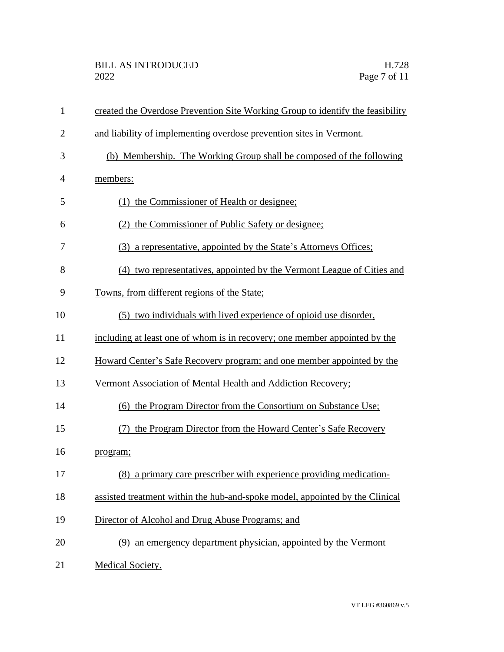| $\mathbf{1}$   | created the Overdose Prevention Site Working Group to identify the feasibility |
|----------------|--------------------------------------------------------------------------------|
| $\overline{2}$ | and liability of implementing overdose prevention sites in Vermont.            |
| 3              | (b) Membership. The Working Group shall be composed of the following           |
| 4              | members:                                                                       |
| 5              | (1) the Commissioner of Health or designee;                                    |
| 6              | (2) the Commissioner of Public Safety or designee;                             |
| 7              | (3) a representative, appointed by the State's Attorneys Offices;              |
| 8              | (4) two representatives, appointed by the Vermont League of Cities and         |
| 9              | Towns, from different regions of the State;                                    |
| 10             | (5) two individuals with lived experience of opioid use disorder,              |
| 11             | including at least one of whom is in recovery; one member appointed by the     |
| 12             | Howard Center's Safe Recovery program; and one member appointed by the         |
| 13             | Vermont Association of Mental Health and Addiction Recovery;                   |
| 14             | (6) the Program Director from the Consortium on Substance Use;                 |
| 15             | the Program Director from the Howard Center's Safe Recovery                    |
| 16             | program;                                                                       |
| 17             | (8) a primary care prescriber with experience providing medication-            |
| 18             | assisted treatment within the hub-and-spoke model, appointed by the Clinical   |
| 19             | Director of Alcohol and Drug Abuse Programs; and                               |
| 20             | (9) an emergency department physician, appointed by the Vermont                |
| 21             | Medical Society.                                                               |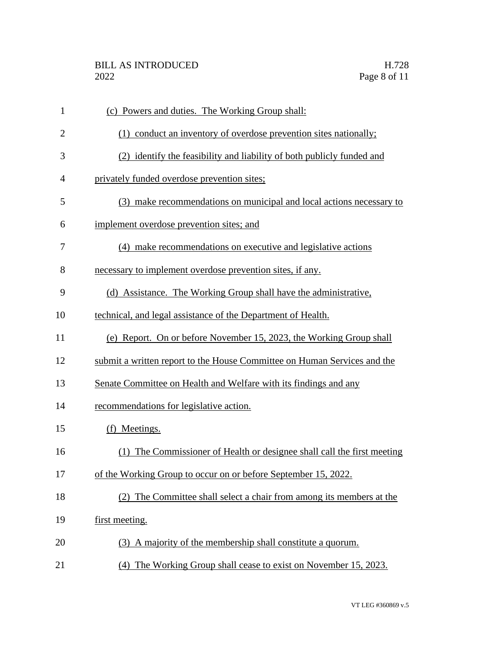| $\mathbf{1}$   | (c) Powers and duties. The Working Group shall:                          |
|----------------|--------------------------------------------------------------------------|
| $\overline{2}$ | (1) conduct an inventory of overdose prevention sites nationally;        |
| 3              | (2) identify the feasibility and liability of both publicly funded and   |
| $\overline{4}$ | privately funded overdose prevention sites;                              |
| 5              | (3) make recommendations on municipal and local actions necessary to     |
| 6              | implement overdose prevention sites; and                                 |
| 7              | (4) make recommendations on executive and legislative actions            |
| 8              | necessary to implement overdose prevention sites, if any.                |
| 9              | (d) Assistance. The Working Group shall have the administrative,         |
| 10             | technical, and legal assistance of the Department of Health.             |
| 11             | (e) Report. On or before November 15, 2023, the Working Group shall      |
| 12             | submit a written report to the House Committee on Human Services and the |
| 13             | Senate Committee on Health and Welfare with its findings and any         |
| 14             | recommendations for legislative action.                                  |
| 15             | (f) Meetings.                                                            |
| 16             | (1) The Commissioner of Health or designee shall call the first meeting  |
| 17             | of the Working Group to occur on or before September 15, 2022.           |
| 18             | (2) The Committee shall select a chair from among its members at the     |
| 19             | first meeting.                                                           |
| 20             | (3) A majority of the membership shall constitute a quorum.              |
| 21             | (4) The Working Group shall cease to exist on November 15, 2023.         |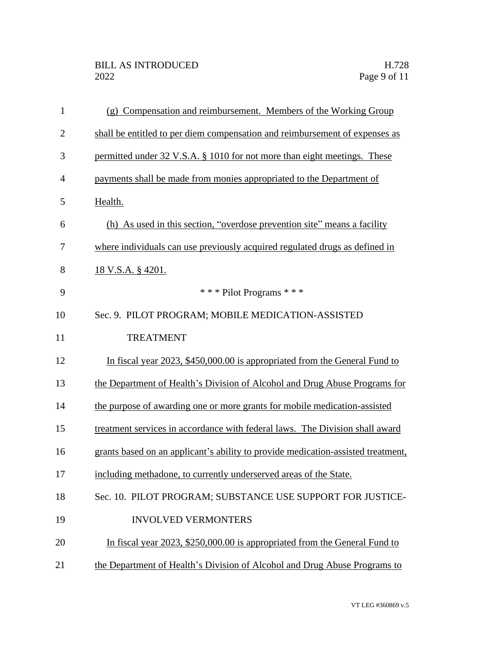| $\mathbf{1}$   | (g) Compensation and reimbursement. Members of the Working Group                 |
|----------------|----------------------------------------------------------------------------------|
| $\overline{2}$ | shall be entitled to per diem compensation and reimbursement of expenses as      |
| 3              | permitted under 32 V.S.A. § 1010 for not more than eight meetings. These         |
| $\overline{4}$ | payments shall be made from monies appropriated to the Department of             |
| 5              | Health.                                                                          |
| 6              | (h) As used in this section, "overdose prevention site" means a facility         |
| 7              | where individuals can use previously acquired regulated drugs as defined in      |
| 8              | <u>18 V.S.A. § 4201.</u>                                                         |
| 9              | *** Pilot Programs ***                                                           |
| 10             | Sec. 9. PILOT PROGRAM; MOBILE MEDICATION-ASSISTED                                |
| 11             | <b>TREATMENT</b>                                                                 |
| 12             | In fiscal year 2023, \$450,000.00 is appropriated from the General Fund to       |
| 13             | the Department of Health's Division of Alcohol and Drug Abuse Programs for       |
| 14             | the purpose of awarding one or more grants for mobile medication-assisted        |
| 15             | treatment services in accordance with federal laws. The Division shall award     |
| 16             | grants based on an applicant's ability to provide medication-assisted treatment, |
| 17             | including methadone, to currently underserved areas of the State.                |
| 18             | Sec. 10. PILOT PROGRAM; SUBSTANCE USE SUPPORT FOR JUSTICE-                       |
| 19             | <b>INVOLVED VERMONTERS</b>                                                       |
| 20             | In fiscal year 2023, \$250,000.00 is appropriated from the General Fund to       |
| 21             | the Department of Health's Division of Alcohol and Drug Abuse Programs to        |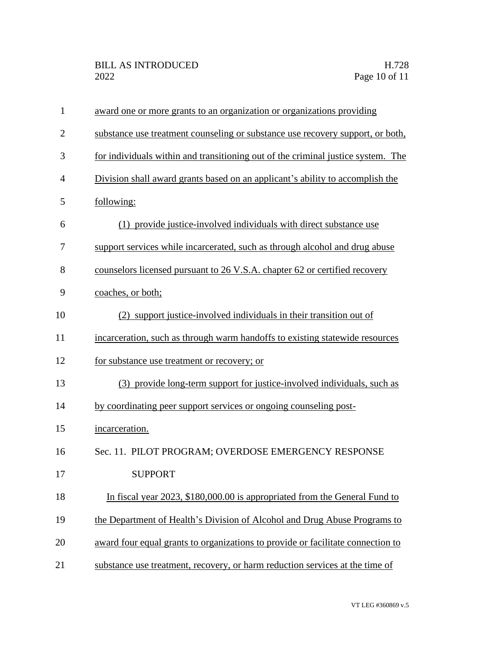| $\mathbf{1}$   | award one or more grants to an organization or organizations providing           |
|----------------|----------------------------------------------------------------------------------|
| $\overline{2}$ | substance use treatment counseling or substance use recovery support, or both,   |
| 3              | for individuals within and transitioning out of the criminal justice system. The |
| $\overline{4}$ | Division shall award grants based on an applicant's ability to accomplish the    |
| 5              | following:                                                                       |
| 6              | (1) provide justice-involved individuals with direct substance use               |
| 7              | support services while incarcerated, such as through alcohol and drug abuse      |
| 8              | counselors licensed pursuant to 26 V.S.A. chapter 62 or certified recovery       |
| 9              | coaches, or both;                                                                |
| 10             | (2) support justice-involved individuals in their transition out of              |
| 11             | incarceration, such as through warm handoffs to existing statewide resources     |
| 12             | for substance use treatment or recovery; or                                      |
| 13             | (3) provide long-term support for justice-involved individuals, such as          |
| 14             | by coordinating peer support services or ongoing counseling post-                |
| 15             | incarceration.                                                                   |
| 16             | Sec. 11. PILOT PROGRAM; OVERDOSE EMERGENCY RESPONSE                              |
| 17             | <b>SUPPORT</b>                                                                   |
| 18             | In fiscal year 2023, \$180,000.00 is appropriated from the General Fund to       |
| 19             | the Department of Health's Division of Alcohol and Drug Abuse Programs to        |
| 20             | award four equal grants to organizations to provide or facilitate connection to  |
| 21             | substance use treatment, recovery, or harm reduction services at the time of     |